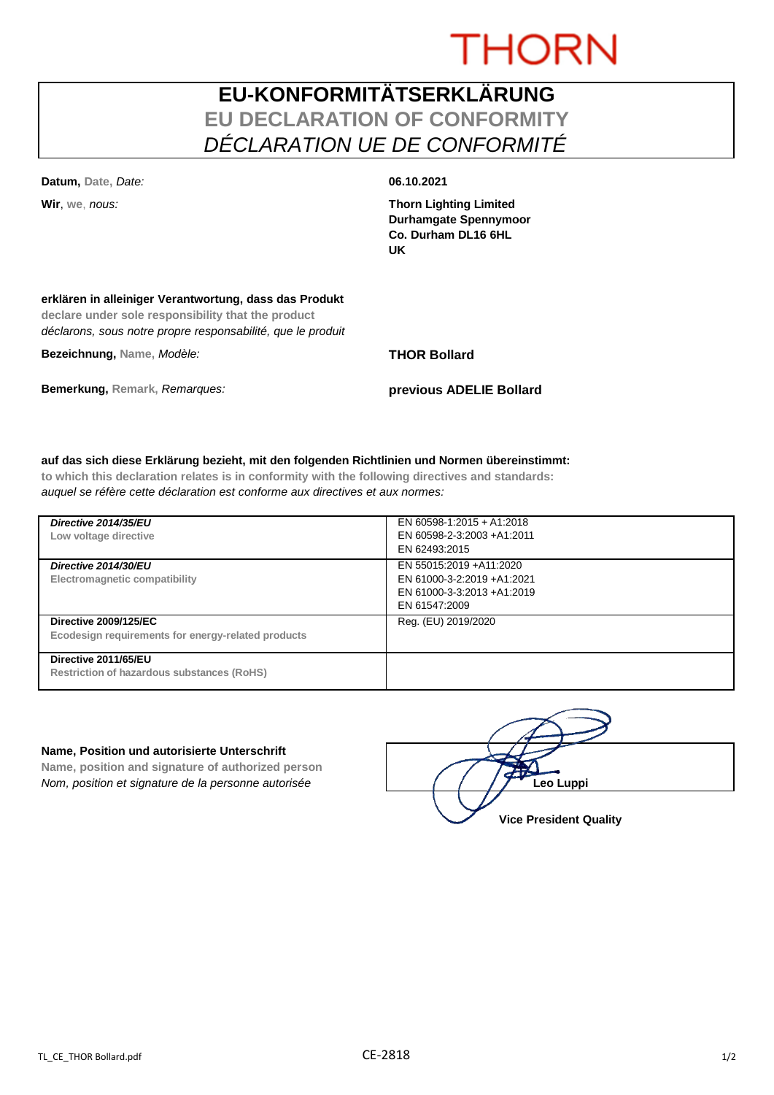# **THORN**

## **EU-KONFORMITÄTSERKLÄRUNG EU DECLARATION OF CONFORMITY** *DÉCLARATION UE DE CONFORMITÉ*

**Datum, Date,** *Date:* **06.10.2021**

**Wir**, **we**, *nous:* **Thorn Lighting Limited Durhamgate Spennymoor Co. Durham DL16 6HL UK**

### **erklären in alleiniger Verantwortung, dass das Produkt**

**declare under sole responsibility that the product** *déclarons, sous notre propre responsabilité, que le produit*

**Bezeichnung, Name,** *Modèle:* **THOR Bollard**

**Bemerkung, Remark,** *Remarques:* **previous ADELIE Bollard**

### **auf das sich diese Erklärung bezieht, mit den folgenden Richtlinien und Normen übereinstimmt:**

**to which this declaration relates is in conformity with the following directives and standards:** *auquel se réfère cette déclaration est conforme aux directives et aux normes:*

| Directive 2014/35/EU<br>Low voltage directive                                      | EN 60598-1:2015 + A1:2018<br>EN 60598-2-3:2003 +A1:2011<br>EN 62493:2015                              |
|------------------------------------------------------------------------------------|-------------------------------------------------------------------------------------------------------|
| Directive 2014/30/EU<br><b>Electromagnetic compatibility</b>                       | EN 55015:2019 + A11:2020<br>EN 61000-3-2:2019 +A1:2021<br>EN 61000-3-3:2013 +A1:2019<br>EN 61547:2009 |
| <b>Directive 2009/125/EC</b><br>Ecodesign requirements for energy-related products | Reg. (EU) 2019/2020                                                                                   |
| Directive 2011/65/EU<br><b>Restriction of hazardous substances (RoHS)</b>          |                                                                                                       |

### **Name, Position und autorisierte Unterschrift**

**Name, position and signature of authorized person** *Nom, position et signature de la personne autorisée*  $\left| \begin{array}{cc} | & | & | \end{array} \right|$  / / / **/ Leo Luppi** 

**Vice President Quality**